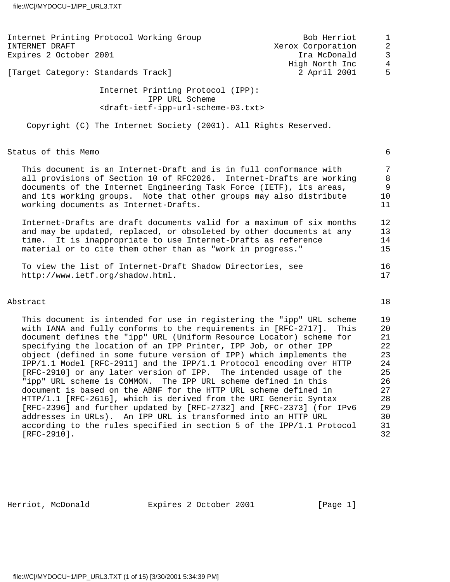| Internet Printing Protocol Working Group<br>INTERNET DRAFT<br>Expires 2 October 2001                                                                                                                                                                                                                                                                                                                                                                                                                                                                                       | Bob Herriot<br>Xerox Corporation<br>Ira McDonald | $\mathbf 1$<br>$\overline{2}$<br>3           |
|----------------------------------------------------------------------------------------------------------------------------------------------------------------------------------------------------------------------------------------------------------------------------------------------------------------------------------------------------------------------------------------------------------------------------------------------------------------------------------------------------------------------------------------------------------------------------|--------------------------------------------------|----------------------------------------------|
| [Target Category: Standards Track]                                                                                                                                                                                                                                                                                                                                                                                                                                                                                                                                         | High North Inc<br>2 April 2001                   | $\overline{4}$<br>5                          |
| Internet Printing Protocol (IPP):<br>IPP URL Scheme<br><draft-ietf-ipp-url-scheme-03.txt></draft-ietf-ipp-url-scheme-03.txt>                                                                                                                                                                                                                                                                                                                                                                                                                                               |                                                  |                                              |
| Copyright (C) The Internet Society (2001). All Rights Reserved.                                                                                                                                                                                                                                                                                                                                                                                                                                                                                                            |                                                  |                                              |
| Status of this Memo                                                                                                                                                                                                                                                                                                                                                                                                                                                                                                                                                        |                                                  | 6                                            |
| This document is an Internet-Draft and is in full conformance with<br>all provisions of Section 10 of RFC2026. Internet-Drafts are working<br>documents of the Internet Engineering Task Force (IETF), its areas,<br>and its working groups. Note that other groups may also distribute<br>working documents as Internet-Drafts.                                                                                                                                                                                                                                           |                                                  | $\overline{7}$<br>8<br>9<br>10<br>11         |
| Internet-Drafts are draft documents valid for a maximum of six months<br>and may be updated, replaced, or obsoleted by other documents at any<br>time. It is inappropriate to use Internet-Drafts as reference<br>material or to cite them other than as "work in progress."                                                                                                                                                                                                                                                                                               |                                                  | 12<br>13<br>14<br>15                         |
| To view the list of Internet-Draft Shadow Directories, see<br>http://www.ietf.org/shadow.html.                                                                                                                                                                                                                                                                                                                                                                                                                                                                             |                                                  | 16<br>17                                     |
| Abstract                                                                                                                                                                                                                                                                                                                                                                                                                                                                                                                                                                   |                                                  | 18                                           |
| This document is intended for use in registering the "ipp" URL scheme<br>with IANA and fully conforms to the requirements in [RFC-2717].<br>document defines the "ipp" URL (Uniform Resource Locator) scheme for<br>specifying the location of an IPP Printer, IPP Job, or other IPP<br>object (defined in some future version of IPP) which implements the<br>IPP/1.1 Model [RFC-2911] and the IPP/1.1 Protocol encoding over HTTP<br>[RFC-2910] or any later version of IPP. The intended usage of the<br>"ipp" URL scheme is COMMON. The IPP URL scheme defined in this | This                                             | 19<br>20<br>21<br>22<br>23<br>24<br>25<br>26 |

 document is based on the ABNF for the HTTP URL scheme defined in 27 HTTP/1.1 [RFC-2616], which is derived from the URI Generic Syntax 28 [RFC-2396] and further updated by [RFC-2732] and [RFC-2373] (for IPv6 29 addresses in URLs). An IPP URL is transformed into an HTTP URL 30 according to the rules specified in section 5 of the IPP/1.1 Protocol 31 [RFC-2910]. 32

Herriot, McDonald **Expires 2 October 2001** [Page 1]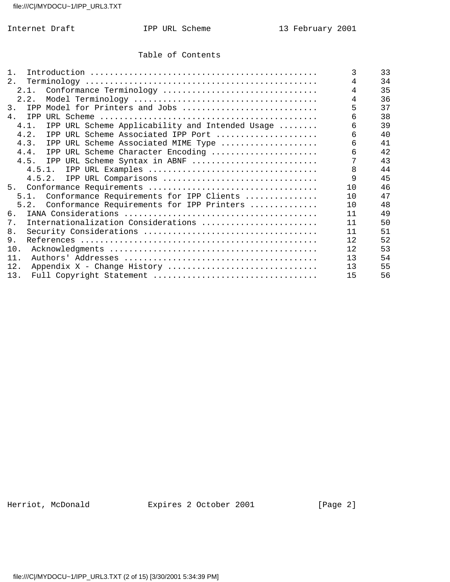### Table of Contents

| 1 <sub>1</sub>                                          | 3   | 33 |
|---------------------------------------------------------|-----|----|
| 2.                                                      | 4   | 34 |
| 2.1. Conformance Terminology                            | 4   | 35 |
| 2.2.                                                    |     | 36 |
| 3.<br>IPP Model for Printers and Jobs                   |     | 37 |
| 4.<br>IPP                                               | 6   | 38 |
| IPP URL Scheme Applicability and Intended Usage<br>4.1. | 6   | 39 |
| 4.2.<br>IPP URL Scheme Associated IPP Port              | 6   | 40 |
| 4.3.<br>IPP URL Scheme Associated MIME Type             | 6   | 41 |
| 4.4.<br>IPP URL Scheme Character Encoding               | б   | 42 |
| IPP URL Scheme Syntax in ABNF<br>4.5.                   |     | 43 |
|                                                         | 8   | 44 |
| 4.5.2. IPP URL Comparisons                              | 9   | 45 |
|                                                         | 10  | 46 |
| 5.1. Conformance Requirements for IPP Clients           | 10  | 47 |
| Conformance Requirements for IPP Printers<br>5.2.       | 10  | 48 |
| 6.                                                      | 11  | 49 |
| Internationalization Considerations<br>7.               | 11  | 50 |
| 8.                                                      | 11  | 51 |
| 9.                                                      | 12  | 52 |
| 10.                                                     | 12. | 53 |
| 11.                                                     | 13  | 54 |
| 12.<br>Appendix X - Change History                      | 13  | 55 |
| 13.                                                     | 15  | 56 |

Herriot, McDonald **Expires 2 October 2001** [Page 2]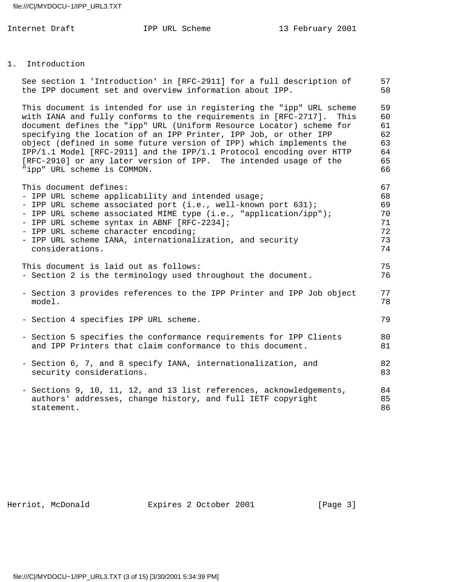#### 1. Introduction

| See section 1 'Introduction' in [RFC-2911] for a full description of<br>the IPP document set and overview information about IPP.                                                                                                                                                                                                                                                                                                                                                                                                                | 57<br>58                                     |
|-------------------------------------------------------------------------------------------------------------------------------------------------------------------------------------------------------------------------------------------------------------------------------------------------------------------------------------------------------------------------------------------------------------------------------------------------------------------------------------------------------------------------------------------------|----------------------------------------------|
| This document is intended for use in registering the "ipp" URL scheme<br>with IANA and fully conforms to the requirements in [RFC-2717].<br>This<br>document defines the "ipp" URL (Uniform Resource Locator) scheme for<br>specifying the location of an IPP Printer, IPP Job, or other IPP<br>object (defined in some future version of IPP) which implements the<br>IPP/1.1 Model [RFC-2911] and the IPP/1.1 Protocol encoding over HTTP<br>[RFC-2910] or any later version of IPP. The intended usage of the<br>"ipp" URL scheme is COMMON. | 59<br>60<br>61<br>62<br>63<br>64<br>65<br>66 |
| This document defines:<br>- IPP URL scheme applicability and intended usage;<br>- IPP URL scheme associated port (i.e., well-known port 631);<br>- IPP URL scheme associated MIME type (i.e., "application/ipp");<br>- IPP URL scheme syntax in ABNF [RFC-2234];<br>- IPP URL scheme character encoding;<br>- IPP URL scheme IANA, internationalization, and security<br>considerations.                                                                                                                                                        | 67<br>68<br>69<br>70<br>71<br>72<br>73<br>74 |
| This document is laid out as follows:<br>- Section 2 is the terminology used throughout the document.                                                                                                                                                                                                                                                                                                                                                                                                                                           | 75<br>76                                     |
| - Section 3 provides references to the IPP Printer and IPP Job object<br>model.                                                                                                                                                                                                                                                                                                                                                                                                                                                                 | 77<br>78                                     |
| - Section 4 specifies IPP URL scheme.                                                                                                                                                                                                                                                                                                                                                                                                                                                                                                           | 79                                           |
| - Section 5 specifies the conformance requirements for IPP Clients<br>and IPP Printers that claim conformance to this document.                                                                                                                                                                                                                                                                                                                                                                                                                 | 80<br>81                                     |
| - Section 6, 7, and 8 specify IANA, internationalization, and<br>security considerations.                                                                                                                                                                                                                                                                                                                                                                                                                                                       | 82<br>83                                     |
| - Sections 9, 10, 11, 12, and 13 list references, acknowledgements,<br>authors' addresses, change history, and full IETF copyright<br>statement.                                                                                                                                                                                                                                                                                                                                                                                                | 84<br>85<br>86                               |

Herriot, McDonald **Expires 2 October 2001** [Page 3]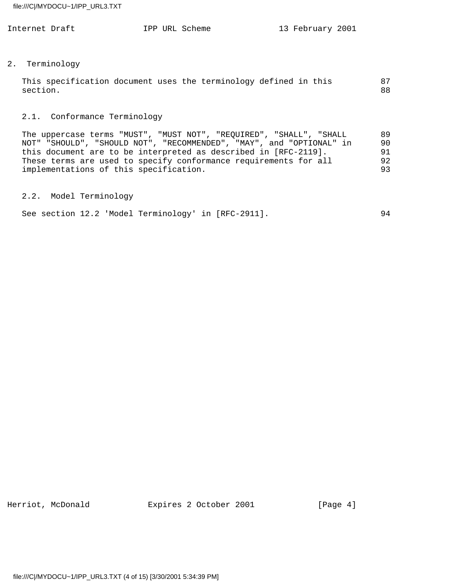| Internet Draft | IPP URL Scheme | 13 February 2001 |
|----------------|----------------|------------------|
|                |                |                  |

### 2. Terminology

|          | This specification document uses the terminology defined in this |  |  |  |  | 87 |
|----------|------------------------------------------------------------------|--|--|--|--|----|
| section. |                                                                  |  |  |  |  | 88 |

# 2.1. Conformance Terminology

 The uppercase terms "MUST", "MUST NOT", "REQUIRED", "SHALL", "SHALL 89 NOT" "SHOULD", "SHOULD NOT", "RECOMMENDED", "MAY", and "OPTIONAL" in 90 this document are to be interpreted as described in [RFC-2119]. 91 These terms are used to specify conformance requirements for all 92 implementations of this specification.  $93$ 

# 2.2. Model Terminology

| See section 12.2 'Model Terminology' in [RFC-2911]. |  |  |  |
|-----------------------------------------------------|--|--|--|
|-----------------------------------------------------|--|--|--|

Herriot, McDonald **Expires 2 October 2001** [Page 4]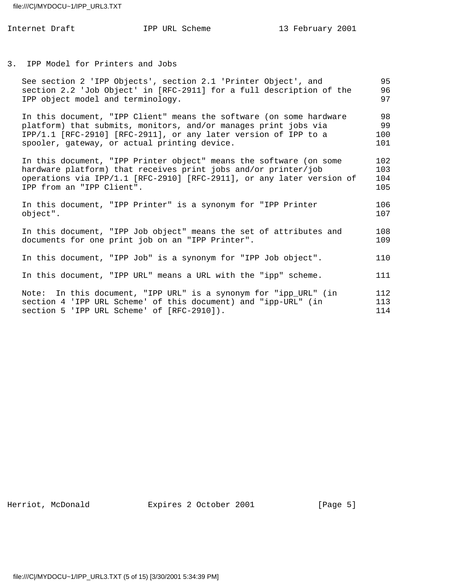|  |  | IPP URL Scheme |
|--|--|----------------|
|--|--|----------------|

3. IPP Model for Printers and Jobs

| See section 2 'IPP Objects', section 2.1 'Printer Object', and<br>section 2.2 'Job Object' in [RFC-2911] for a full description of the<br>IPP object model and terminology.                                                                               | 95<br>96<br>97           |
|-----------------------------------------------------------------------------------------------------------------------------------------------------------------------------------------------------------------------------------------------------------|--------------------------|
| In this document, "IPP Client" means the software (on some hardware<br>platform) that submits, monitors, and/or manages print jobs via<br>IPP/1.1 [RFC-2910] [RFC-2911], or any later version of IPP to a<br>spooler, gateway, or actual printing device. | 98<br>99<br>100<br>101   |
| In this document, "IPP Printer object" means the software (on some<br>hardware platform) that receives print jobs and/or printer/job<br>operations via IPP/1.1 [RFC-2910] [RFC-2911], or any later version of<br>IPP from an "IPP Client".                | 102<br>103<br>104<br>105 |
| In this document, "IPP Printer" is a synonym for "IPP Printer<br>object".                                                                                                                                                                                 | 106<br>107               |
| In this document, "IPP Job object" means the set of attributes and<br>documents for one print job on an "IPP Printer".                                                                                                                                    | 108<br>109               |
| In this document, "IPP Job" is a synonym for "IPP Job object".                                                                                                                                                                                            | 110                      |
| In this document, "IPP URL" means a URL with the "ipp" scheme.                                                                                                                                                                                            | 111                      |
| Note: In this document, "IPP URL" is a synonym for "ipp_URL" (in<br>section 4 'IPP URL Scheme' of this document) and "ipp-URL" (in<br>section 5 'IPP URL Scheme' of [RFC-2910]).                                                                          | 112<br>113<br>114        |

Herriot, McDonald **Expires 2 October 2001** [Page 5]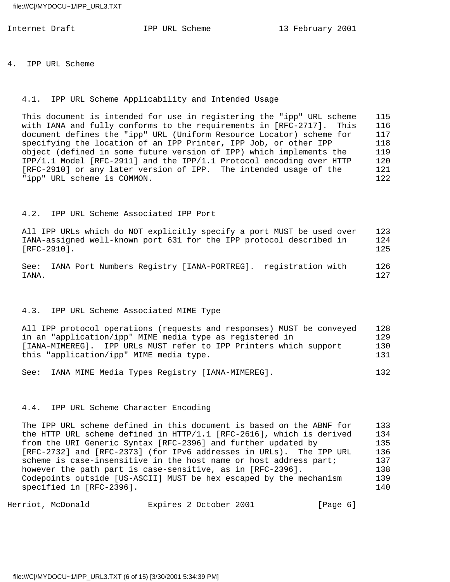4. IPP URL Scheme

#### 4.1. IPP URL Scheme Applicability and Intended Usage

 This document is intended for use in registering the "ipp" URL scheme 115 with IANA and fully conforms to the requirements in [RFC-2717]. This 116 document defines the "ipp" URL (Uniform Resource Locator) scheme for 117 specifying the location of an IPP Printer, IPP Job, or other IPP 118 object (defined in some future version of IPP) which implements the 119 IPP/1.1 Model [RFC-2911] and the IPP/1.1 Protocol encoding over HTTP 120 [RFC-2910] or any later version of IPP. The intended usage of the 121 "ipp" URL scheme is COMMON. 122

### 4.2. IPP URL Scheme Associated IPP Port

 All IPP URLs which do NOT explicitly specify a port MUST be used over 123 IANA-assigned well-known port 631 for the IPP protocol described in 124 [RFC-2910]. 125

 See: IANA Port Numbers Registry [IANA-PORTREG]. registration with 126 IANA. 127

#### 4.3. IPP URL Scheme Associated MIME Type

 All IPP protocol operations (requests and responses) MUST be conveyed 128 in an "application/ipp" MIME media type as registered in 129 [IANA-MIMEREG]. IPP URLs MUST refer to IPP Printers which support 130 this "application/ipp" MIME media type. 131

See: IANA MIME Media Types Registry [IANA-MIMEREG]. 132

### 4.4. IPP URL Scheme Character Encoding

The IPP URL scheme defined in this document is based on the ABNF for 133 the HTTP URL scheme defined in HTTP/1.1 [RFC-2616], which is derived 134 from the URI Generic Syntax [RFC-2396] and further updated by 135 [RFC-2732] and [RFC-2373] (for IPv6 addresses in URLs). The IPP URL 136 scheme is case-insensitive in the host name or host address part; 137 however the path part is case-sensitive, as in [RFC-2396]. 138 Codepoints outside [US-ASCII] MUST be hex escaped by the mechanism 139 specified in [RFC-2396]. 140 and 140 and 140 and 150 and 150 and 150 and 150 and 150 and 150 and 150 and 150 and 150 and 150 and 150 and 150 and 150 and 150 and 150 and 150 and 150 and 150 and 150 and 150 and 150 and 150 a

Herriot, McDonald Expires 2 October 2001 [Page 6]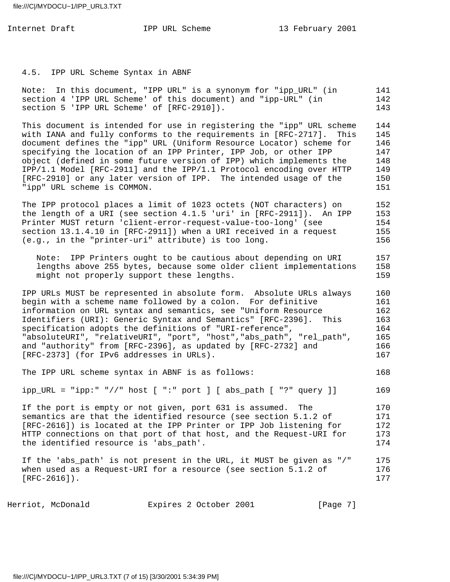4.5. IPP URL Scheme Syntax in ABNF

 Note: In this document, "IPP URL" is a synonym for "ipp\_URL" (in 141 section 4 'IPP URL Scheme' of this document) and "ipp-URL" (in 142 section 5 'IPP URL Scheme' of [RFC-2910]). 143

 This document is intended for use in registering the "ipp" URL scheme 144 with IANA and fully conforms to the requirements in [RFC-2717]. This 145 document defines the "ipp" URL (Uniform Resource Locator) scheme for 146 specifying the location of an IPP Printer, IPP Job, or other IPP 147 object (defined in some future version of IPP) which implements the 148 IPP/1.1 Model [RFC-2911] and the IPP/1.1 Protocol encoding over HTTP 149 [RFC-2910] or any later version of IPP. The intended usage of the 150 "ipp" URL scheme is COMMON. 151

 The IPP protocol places a limit of 1023 octets (NOT characters) on 152 the length of a URI (see section 4.1.5 'uri' in [RFC-2911]). An IPP 153 Printer MUST return 'client-error-request-value-too-long' (see 154 section 13.1.4.10 in [RFC-2911]) when a URI received in a request 155 (e.g., in the "printer-uri" attribute) is too long. 156

 Note: IPP Printers ought to be cautious about depending on URI 157 lengths above 255 bytes, because some older client implementations 158 might not properly support these lengths. 159

 IPP URLs MUST be represented in absolute form. Absolute URLs always 160 begin with a scheme name followed by a colon. For definitive 161 information on URL syntax and semantics, see "Uniform Resource 162 Identifiers (URI): Generic Syntax and Semantics" [RFC-2396]. This 163 specification adopts the definitions of "URI-reference",  $164$  "absoluteURI", "relativeURI", "port", "host","abs\_path", "rel\_path", 165 and "authority" from [RFC-2396], as updated by [RFC-2732] and 166 [RFC-2373] (for IPv6 addresses in URLs). 167

The IPP URL scheme syntax in ABNF is as follows: 168

ipp\_URL = "ipp:" "//" host [ ":" port ] [ abs\_path [ "?" query ]] 169

If the port is empty or not given, port 631 is assumed. The 170 semantics are that the identified resource (see section 5.1.2 of 171 [RFC-2616]) is located at the IPP Printer or IPP Job listening for 172 HTTP connections on that port of that host, and the Request-URI for 173 the identified resource is 'abs\_path'. 174

 If the 'abs\_path' is not present in the URL, it MUST be given as "/" 175 when used as a Request-URI for a resource (see section  $5.1.2$  of  $176$  $[RFC-2616]$ ). 177

Herriot, McDonald Expires 2 October 2001 [Page 7]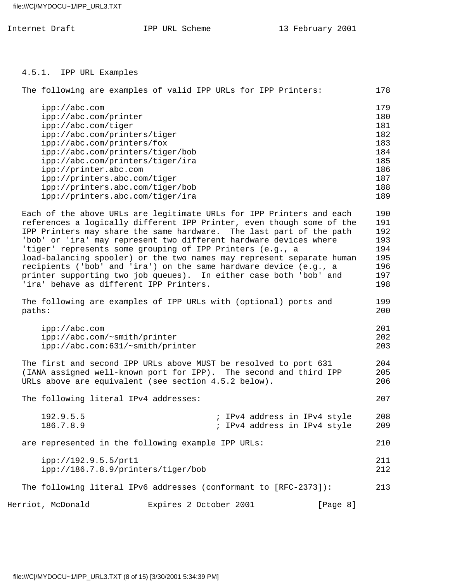| TPP | URL Scheme |
|-----|------------|
|     |            |

Internet Draft **IPP** URL Scheme 13 February 2001

4.5.1. IPP URL Examples

| The following are examples of valid IPP URLs for IPP Printers:                                                                                                                                                                                                                                                                                                                                                                                                                                                                                                                                                                                                                                     |                        |  |                                                              | 178                                                                       |
|----------------------------------------------------------------------------------------------------------------------------------------------------------------------------------------------------------------------------------------------------------------------------------------------------------------------------------------------------------------------------------------------------------------------------------------------------------------------------------------------------------------------------------------------------------------------------------------------------------------------------------------------------------------------------------------------------|------------------------|--|--------------------------------------------------------------|---------------------------------------------------------------------------|
| ipp://abc.com                                                                                                                                                                                                                                                                                                                                                                                                                                                                                                                                                                                                                                                                                      |                        |  |                                                              | 179                                                                       |
| ipp://abc.com/printer                                                                                                                                                                                                                                                                                                                                                                                                                                                                                                                                                                                                                                                                              |                        |  |                                                              | 180                                                                       |
| ipp://abc.com/tiger                                                                                                                                                                                                                                                                                                                                                                                                                                                                                                                                                                                                                                                                                |                        |  |                                                              | 181                                                                       |
| ipp://abc.com/printers/tiger                                                                                                                                                                                                                                                                                                                                                                                                                                                                                                                                                                                                                                                                       |                        |  |                                                              | 182                                                                       |
| ipp://abc.com/printers/fox                                                                                                                                                                                                                                                                                                                                                                                                                                                                                                                                                                                                                                                                         |                        |  |                                                              | 183                                                                       |
| ipp://abc.com/printers/tiger/bob                                                                                                                                                                                                                                                                                                                                                                                                                                                                                                                                                                                                                                                                   |                        |  |                                                              | 184                                                                       |
| ipp://abc.com/printers/tiger/ira                                                                                                                                                                                                                                                                                                                                                                                                                                                                                                                                                                                                                                                                   |                        |  |                                                              | 185                                                                       |
| ipp://printer.abc.com                                                                                                                                                                                                                                                                                                                                                                                                                                                                                                                                                                                                                                                                              |                        |  |                                                              | 186                                                                       |
| ipp://printers.abc.com/tiger                                                                                                                                                                                                                                                                                                                                                                                                                                                                                                                                                                                                                                                                       |                        |  |                                                              | 187                                                                       |
| ipp://printers.abc.com/tiger/bob                                                                                                                                                                                                                                                                                                                                                                                                                                                                                                                                                                                                                                                                   |                        |  |                                                              | 188                                                                       |
| ipp://printers.abc.com/tiger/ira                                                                                                                                                                                                                                                                                                                                                                                                                                                                                                                                                                                                                                                                   |                        |  |                                                              | 189                                                                       |
| Each of the above URLs are legitimate URLs for IPP Printers and each<br>references a logically different IPP Printer, even though some of the<br>IPP Printers may share the same hardware. The last part of the path<br>'bob' or 'ira' may represent two different hardware devices where<br>'tiger' represents some grouping of IPP Printers (e.g., a<br>load-balancing spooler) or the two names may represent separate human<br>recipients ('bob' and 'ira') on the same hardware device (e.g., a<br>printer supporting two job queues). In either case both 'bob' and<br>'ira' behave as different IPP Printers.<br>The following are examples of IPP URLs with (optional) ports and<br>paths: |                        |  |                                                              | 190<br>191<br>192<br>193<br>194<br>195<br>196<br>197<br>198<br>199<br>200 |
| ipp://abc.com<br>ipp://abc.com/~smith/printer<br>ipp://abc.com:631/~smith/printer                                                                                                                                                                                                                                                                                                                                                                                                                                                                                                                                                                                                                  |                        |  |                                                              | 201<br>202<br>203                                                         |
| The first and second IPP URLs above MUST be resolved to port 631<br>(IANA assigned well-known port for IPP). The second and third IPP<br>URLs above are equivalent (see section 4.5.2 below).                                                                                                                                                                                                                                                                                                                                                                                                                                                                                                      |                        |  |                                                              | 204<br>205<br>206                                                         |
| The following literal IPv4 addresses:                                                                                                                                                                                                                                                                                                                                                                                                                                                                                                                                                                                                                                                              |                        |  |                                                              | 207                                                                       |
| 192.9.5.5<br>186.7.8.9                                                                                                                                                                                                                                                                                                                                                                                                                                                                                                                                                                                                                                                                             |                        |  | ; IPv4 address in IPv4 style<br>; IPv4 address in IPv4 style | 208<br>209                                                                |
| are represented in the following example IPP URLs:                                                                                                                                                                                                                                                                                                                                                                                                                                                                                                                                                                                                                                                 |                        |  |                                                              | 210                                                                       |
| ipp://192.9.5.5/prt1<br>ipp://186.7.8.9/printers/tiger/bob                                                                                                                                                                                                                                                                                                                                                                                                                                                                                                                                                                                                                                         |                        |  |                                                              | 211<br>212                                                                |
| The following literal IPv6 addresses (conformant to [RFC-2373]):                                                                                                                                                                                                                                                                                                                                                                                                                                                                                                                                                                                                                                   |                        |  |                                                              | 213                                                                       |
| Herriot, McDonald                                                                                                                                                                                                                                                                                                                                                                                                                                                                                                                                                                                                                                                                                  | Expires 2 October 2001 |  | [Page 8]                                                     |                                                                           |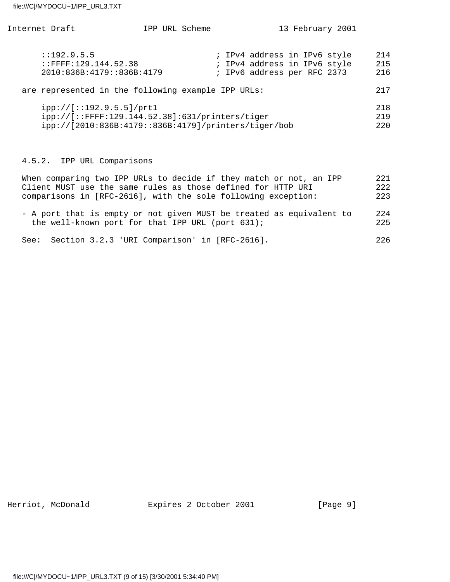| Internet Draft                                                                                                                      | IPP URL Scheme |  | 13 February 2001                                                                            |                   |
|-------------------------------------------------------------------------------------------------------------------------------------|----------------|--|---------------------------------------------------------------------------------------------|-------------------|
| : 192.9.5.5<br>$:$ FFFF $:129.144.52.38$<br>2010:836B:4179::836B:4179                                                               |                |  | ; IPv4 address in IPv6 style<br>; IPv4 address in IPv6 style<br>; IPv6 address per RFC 2373 | 214<br>215<br>216 |
| are represented in the following example IPP URLs:                                                                                  |                |  |                                                                                             | 217               |
| ipp://[::192.9.5.5]/prtl<br>ipp://[::FFFF:129.144.52.38]:631/printers/tiger<br>ipp://[2010:836B:4179::836B:4179]/printers/tiger/bob |                |  |                                                                                             | 218<br>219<br>220 |
| TDD UDI Composicopa<br>1 E O                                                                                                        |                |  |                                                                                             |                   |

# 4.5.2. IPP URL Comparisons

| When comparing two IPP URLs to decide if they match or not, an IPP   | 2.2.1 |
|----------------------------------------------------------------------|-------|
| Client MUST use the same rules as those defined for HTTP URI         | 2.2.2 |
| comparisons in [RFC-2616], with the sole following exception:        | 223   |
| - A port that is empty or not given MUST be treated as equivalent to | 2.2.4 |
| the well-known port for that IPP URL (port 631);                     | 225   |
| Section 3.2.3 'URI Comparison' in [RFC-2616].<br>See:                | 226   |

Herriot, McDonald **Expires 2 October 2001** [Page 9]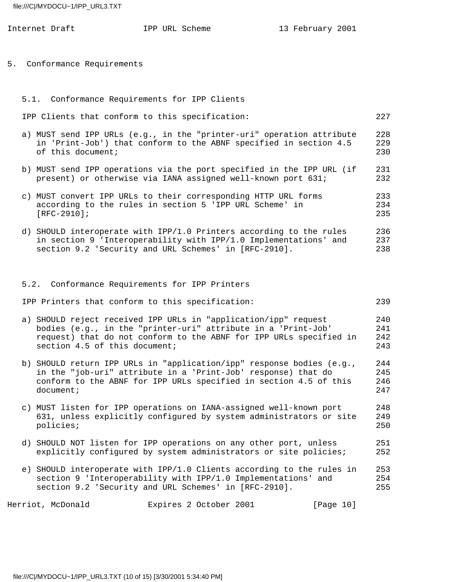|  | Internet Draft                                                                                                                                                    | IPP URL Scheme | 13 February 2001                                                                                                                           |                          |
|--|-------------------------------------------------------------------------------------------------------------------------------------------------------------------|----------------|--------------------------------------------------------------------------------------------------------------------------------------------|--------------------------|
|  | 5. Conformance Requirements                                                                                                                                       |                |                                                                                                                                            |                          |
|  | 5.1. Conformance Requirements for IPP Clients                                                                                                                     |                |                                                                                                                                            |                          |
|  | IPP Clients that conform to this specification:                                                                                                                   |                |                                                                                                                                            | 227                      |
|  | of this document;                                                                                                                                                 |                | a) MUST send IPP URLs (e.g., in the "printer-uri" operation attribute<br>in 'Print-Job') that conform to the ABNF specified in section 4.5 | 228<br>229<br>230        |
|  | present) or otherwise via IANA assigned well-known port 631;                                                                                                      |                | b) MUST send IPP operations via the port specified in the IPP URL (if                                                                      | 231<br>232               |
|  | c) MUST convert IPP URLs to their corresponding HTTP URL forms<br>according to the rules in section 5 'IPP URL Scheme' in<br>$[RFC-2910]$ ;                       |                |                                                                                                                                            | 233<br>234<br>235        |
|  | section 9.2 'Security and URL Schemes' in [RFC-2910].                                                                                                             |                | d) SHOULD interoperate with IPP/1.0 Printers according to the rules<br>in section 9 'Interoperability with IPP/1.0 Implementations' and    | 236<br>237<br>238        |
|  | 5.2. Conformance Requirements for IPP Printers                                                                                                                    |                |                                                                                                                                            |                          |
|  | IPP Printers that conform to this specification:                                                                                                                  |                |                                                                                                                                            | 239                      |
|  | a) SHOULD reject received IPP URLs in "application/ipp" request<br>bodies (e.g., in the "printer-uri" attribute in a 'Print-Job'<br>section 4.5 of this document; |                | request) that do not conform to the ABNF for IPP URLs specified in                                                                         | 240<br>241<br>242<br>243 |
|  | in the "job-uri" attribute in a 'Print-Job' response) that do<br>document;                                                                                        |                | b) SHOULD return IPP URLs in "application/ipp" response bodies (e.g.,<br>conform to the ABNF for IPP URLs specified in section 4.5 of this | 244<br>245<br>246<br>247 |
|  | policies;                                                                                                                                                         |                | c) MUST listen for IPP operations on IANA-assigned well-known port<br>631, unless explicitly configured by system administrators or site   | 248<br>249<br>250        |
|  | d) SHOULD NOT listen for IPP operations on any other port, unless                                                                                                 |                | explicitly configured by system administrators or site policies;                                                                           | 251<br>252               |
|  | section 9 'Interoperability with IPP/1.0 Implementations' and<br>section 9.2 'Security and URL Schemes' in [RFC-2910].                                            |                | e) SHOULD interoperate with IPP/1.0 Clients according to the rules in                                                                      | 253<br>254<br>255        |

Herriot, McDonald **Expires 2 October 2001** [Page 10]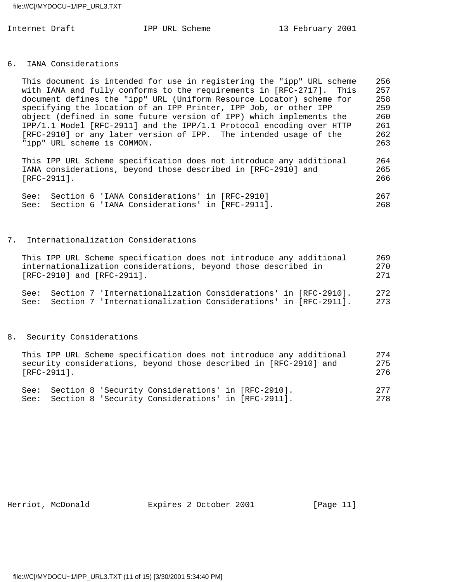#### 6. IANA Considerations

| This document is intended for use in registering the "ipp" URL scheme | 256 |
|-----------------------------------------------------------------------|-----|
| with IANA and fully conforms to the requirements in [RFC-2717]. This  | 257 |
| document defines the "ipp" URL (Uniform Resource Locator) scheme for  | 258 |
| specifying the location of an IPP Printer, IPP Job, or other IPP      | 259 |
| object (defined in some future version of IPP) which implements the   | 260 |
| IPP/1.1 Model [RFC-2911] and the IPP/1.1 Protocol encoding over HTTP  | 261 |
| [RFC-2910] or any later version of IPP. The intended usage of the     | 262 |
| "ipp" URL scheme is COMMON.                                           | 263 |
|                                                                       |     |

 This IPP URL Scheme specification does not introduce any additional 264 IANA considerations, beyond those described in [RFC-2910] and 265 [RFC-2911]. 266

|  | See: Section 6 'IANA Considerations' in [RFC-2910]  |  |     |
|--|-----------------------------------------------------|--|-----|
|  | See: Section 6 'IANA Considerations' in [RFC-2911]. |  | 268 |

# 7. Internationalization Considerations

| This IPP URL Scheme specification does not introduce any additional | 269  |
|---------------------------------------------------------------------|------|
| internationalization considerations, beyond those described in      | 270  |
| $[RFC-2910]$ and $[RFC-2911]$ .                                     | 2.71 |
| See: Section 7 'Internationalization Considerations' in [RFC-2910]. | 2.72 |
| See: Section 7 'Internationalization Considerations' in [RFC-2911]. | 273  |

### 8. Security Considerations

| This IPP URL Scheme specification does not introduce any additional<br>security considerations, beyond those described in [RFC-2910] and | 275 |
|------------------------------------------------------------------------------------------------------------------------------------------|-----|
| [RFC-2911].                                                                                                                              | 276 |
|                                                                                                                                          |     |

|  | See: Section 8 'Security Considerations' in [RFC-2910]. |  | 2.77 |
|--|---------------------------------------------------------|--|------|
|  | See: Section 8 'Security Considerations' in [RFC-2911]. |  | 278  |

Herriot, McDonald Expires 2 October 2001 [Page 11]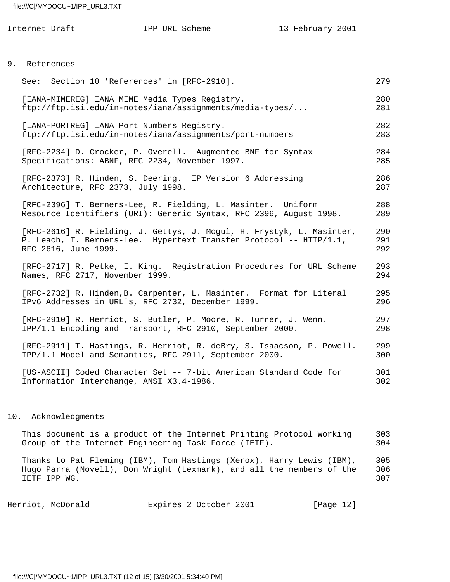| Internet Draft                                                                                                                     | IPP URL Scheme | 13 February 2001                                                                                                                            |                   |
|------------------------------------------------------------------------------------------------------------------------------------|----------------|---------------------------------------------------------------------------------------------------------------------------------------------|-------------------|
|                                                                                                                                    |                |                                                                                                                                             |                   |
| 9. References                                                                                                                      |                |                                                                                                                                             |                   |
| See: Section 10 'References' in [RFC-2910].                                                                                        |                |                                                                                                                                             | 279               |
| [IANA-MIMEREG] IANA MIME Media Types Registry.<br>ftp://ftp.isi.edu/in-notes/iana/assignments/media-types/                         |                |                                                                                                                                             | 280<br>281        |
| [IANA-PORTREG] IANA Port Numbers Registry.<br>ftp://ftp.isi.edu/in-notes/iana/assignments/port-numbers                             |                |                                                                                                                                             | 282<br>283        |
| [RFC-2234] D. Crocker, P. Overell. Augmented BNF for Syntax<br>Specifications: ABNF, RFC 2234, November 1997.                      |                |                                                                                                                                             | 284<br>285        |
| [RFC-2373] R. Hinden, S. Deering. IP Version 6 Addressing<br>Architecture, RFC 2373, July 1998.                                    |                |                                                                                                                                             | 286<br>287        |
| [RFC-2396] T. Berners-Lee, R. Fielding, L. Masinter. Uniform<br>Resource Identifiers (URI): Generic Syntax, RFC 2396, August 1998. |                |                                                                                                                                             | 288<br>289        |
| RFC 2616, June 1999.                                                                                                               |                | [RFC-2616] R. Fielding, J. Gettys, J. Mogul, H. Frystyk, L. Masinter,<br>P. Leach, T. Berners-Lee. Hypertext Transfer Protocol -- HTTP/1.1, | 290<br>291<br>292 |
| Names, RFC 2717, November 1999.                                                                                                    |                | [RFC-2717] R. Petke, I. King. Registration Procedures for URL Scheme                                                                        | 293<br>294        |
| IPv6 Addresses in URL's, RFC 2732, December 1999.                                                                                  |                | [RFC-2732] R. Hinden, B. Carpenter, L. Masinter. Format for Literal                                                                         | 295<br>296        |
| [RFC-2910] R. Herriot, S. Butler, P. Moore, R. Turner, J. Wenn.<br>IPP/1.1 Encoding and Transport, RFC 2910, September 2000.       |                |                                                                                                                                             | 297<br>298        |
| IPP/1.1 Model and Semantics, RFC 2911, September 2000.                                                                             |                | [RFC-2911] T. Hastings, R. Herriot, R. deBry, S. Isaacson, P. Powell.                                                                       | 299<br>300        |
| Information Interchange, ANSI X3.4-1986.                                                                                           |                | [US-ASCII] Coded Character Set -- 7-bit American Standard Code for                                                                          | 301<br>302        |

### 10. Acknowledgments

 This document is a product of the Internet Printing Protocol Working 303 Group of the Internet Engineering Task Force (IETF). 304 Thanks to Pat Fleming (IBM), Tom Hastings (Xerox), Harry Lewis (IBM), 305 Hugo Parra (Novell), Don Wright (Lexmark), and all the members of the 306 IETF IPP WG. 307

Herriot, McDonald **Expires 2 October 2001** [Page 12]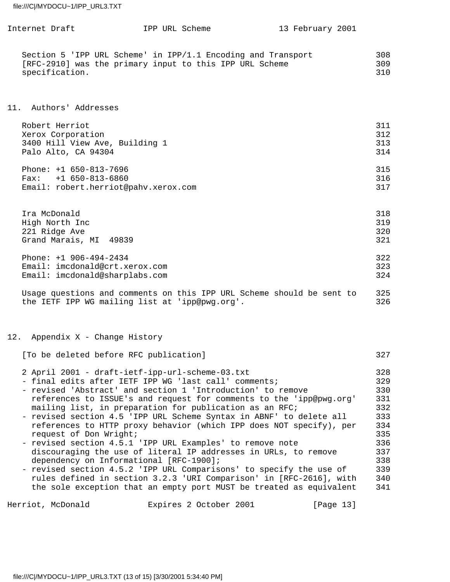| Internet Draft                                                                                                                                                                                                                                                                                                                                                                                                                                                                                                                                                                                                                                               | IPP URL Scheme |  | 13 February 2001 |                                                                           |
|--------------------------------------------------------------------------------------------------------------------------------------------------------------------------------------------------------------------------------------------------------------------------------------------------------------------------------------------------------------------------------------------------------------------------------------------------------------------------------------------------------------------------------------------------------------------------------------------------------------------------------------------------------------|----------------|--|------------------|---------------------------------------------------------------------------|
| Section 5 'IPP URL Scheme' in IPP/1.1 Encoding and Transport<br>[RFC-2910] was the primary input to this IPP URL Scheme<br>specification.                                                                                                                                                                                                                                                                                                                                                                                                                                                                                                                    |                |  |                  | 308<br>309<br>310                                                         |
| 11. Authors' Addresses                                                                                                                                                                                                                                                                                                                                                                                                                                                                                                                                                                                                                                       |                |  |                  |                                                                           |
| Robert Herriot<br>Xerox Corporation<br>3400 Hill View Ave, Building 1<br>Palo Alto, CA 94304                                                                                                                                                                                                                                                                                                                                                                                                                                                                                                                                                                 |                |  |                  | 311<br>312<br>313<br>314                                                  |
| Phone: $+1$ 650-813-7696<br>$Fax: +1 650-813-6860$<br>Email: robert.herriot@pahv.xerox.com                                                                                                                                                                                                                                                                                                                                                                                                                                                                                                                                                                   |                |  |                  | 315<br>316<br>317                                                         |
| Ira McDonald<br>High North Inc<br>221 Ridge Ave<br>Grand Marais, MI 49839                                                                                                                                                                                                                                                                                                                                                                                                                                                                                                                                                                                    |                |  |                  | 318<br>319<br>320<br>321                                                  |
| Phone: +1 906-494-2434<br>Email: imcdonald@crt.xerox.com<br>Email: imcdonald@sharplabs.com                                                                                                                                                                                                                                                                                                                                                                                                                                                                                                                                                                   |                |  |                  | 322<br>323<br>324                                                         |
| Usage questions and comments on this IPP URL Scheme should be sent to<br>the IETF IPP WG mailing list at 'ipp@pwg.org'.                                                                                                                                                                                                                                                                                                                                                                                                                                                                                                                                      |                |  |                  | 325<br>326                                                                |
| 12. Appendix X - Change History                                                                                                                                                                                                                                                                                                                                                                                                                                                                                                                                                                                                                              |                |  |                  |                                                                           |
| [To be deleted before RFC publication]                                                                                                                                                                                                                                                                                                                                                                                                                                                                                                                                                                                                                       |                |  |                  | 327                                                                       |
| 2 April 2001 - draft-ietf-ipp-url-scheme-03.txt<br>- final edits after IETF IPP WG 'last call' comments;<br>- revised 'Abstract' and section 1 'Introduction' to remove<br>references to ISSUE's and request for comments to the 'ipp@pwg.org'<br>mailing list, in preparation for publication as an RFC;<br>- revised section 4.5 'IPP URL Scheme Syntax in ABNF' to delete all<br>references to HTTP proxy behavior (which IPP does NOT specify), per<br>request of Don Wright;<br>- revised section 4.5.1 'IPP URL Examples' to remove note<br>discouraging the use of literal IP addresses in URLs, to remove<br>dependency on Informational [RFC-1900]; |                |  |                  | 328<br>329<br>330<br>331<br>332<br>333<br>334<br>335<br>336<br>337<br>338 |

 - revised section 4.5.2 'IPP URL Comparisons' to specify the use of 339 rules defined in section 3.2.3 'URI Comparison' in [RFC-2616], with 340 the sole exception that an empty port MUST be treated as equivalent 341

Herriot, McDonald **Expires 2 October 2001** [Page 13]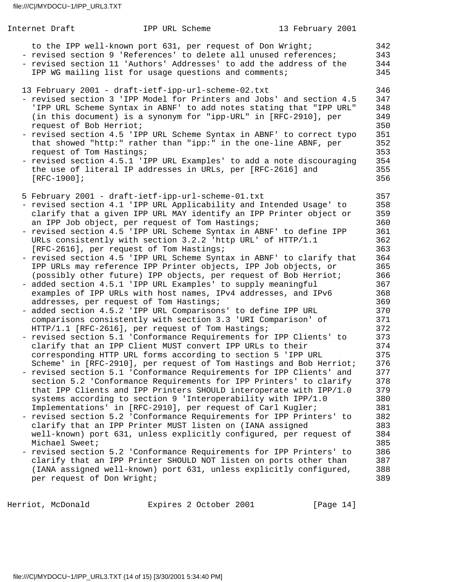| Internet Draft                                                        | IPP URL Scheme                                                                                                                                                                                                                                                                                                                                                                                                                                                                                                                                                                                                                                                                                                                                                                                                                                                                                                                                                                                                                                                                                                                                                                                                                                                                                                                                                                                                                                                                                                                                                                                                                                                                                                                                                                                                                                                                                                                                                                                                                                                                         | 13 February 2001 |                                                                                                                                                                                                                                     |
|-----------------------------------------------------------------------|----------------------------------------------------------------------------------------------------------------------------------------------------------------------------------------------------------------------------------------------------------------------------------------------------------------------------------------------------------------------------------------------------------------------------------------------------------------------------------------------------------------------------------------------------------------------------------------------------------------------------------------------------------------------------------------------------------------------------------------------------------------------------------------------------------------------------------------------------------------------------------------------------------------------------------------------------------------------------------------------------------------------------------------------------------------------------------------------------------------------------------------------------------------------------------------------------------------------------------------------------------------------------------------------------------------------------------------------------------------------------------------------------------------------------------------------------------------------------------------------------------------------------------------------------------------------------------------------------------------------------------------------------------------------------------------------------------------------------------------------------------------------------------------------------------------------------------------------------------------------------------------------------------------------------------------------------------------------------------------------------------------------------------------------------------------------------------------|------------------|-------------------------------------------------------------------------------------------------------------------------------------------------------------------------------------------------------------------------------------|
|                                                                       | to the IPP well-known port 631, per request of Don Wright;<br>- revised section 9 'References' to delete all unused references;<br>- revised section 11 'Authors' Addresses' to add the address of the<br>IPP WG mailing list for usage questions and comments;                                                                                                                                                                                                                                                                                                                                                                                                                                                                                                                                                                                                                                                                                                                                                                                                                                                                                                                                                                                                                                                                                                                                                                                                                                                                                                                                                                                                                                                                                                                                                                                                                                                                                                                                                                                                                        |                  | 342<br>343<br>344<br>345                                                                                                                                                                                                            |
| request of Bob Herriot;<br>request of Tom Hastings;<br>$[RFC-1900]$ ; | 13 February 2001 - draft-ietf-ipp-url-scheme-02.txt<br>- revised section 3 'IPP Model for Printers and Jobs' and section 4.5<br>'IPP URL Scheme Syntax in ABNF' to add notes stating that "IPP URL"<br>(in this document) is a synonym for "ipp-URL" in [RFC-2910], per<br>- revised section 4.5 'IPP URL Scheme Syntax in ABNF' to correct typo<br>that showed "http:" rather than "ipp:" in the one-line ABNF, per<br>- revised section 4.5.1 'IPP URL Examples' to add a note discouraging<br>the use of literal IP addresses in URLs, per [RFC-2616] and                                                                                                                                                                                                                                                                                                                                                                                                                                                                                                                                                                                                                                                                                                                                                                                                                                                                                                                                                                                                                                                                                                                                                                                                                                                                                                                                                                                                                                                                                                                           |                  | 346<br>347<br>348<br>349<br>350<br>351<br>352<br>353<br>354<br>355<br>356                                                                                                                                                           |
| Michael Sweet;<br>per request of Don Wright;                          | 5 February 2001 - draft-ietf-ipp-url-scheme-01.txt<br>- revised section 4.1 'IPP URL Applicability and Intended Usage' to<br>clarify that a given IPP URL MAY identify an IPP Printer object or<br>an IPP Job object, per request of Tom Hastings;<br>- revised section 4.5 'IPP URL Scheme Syntax in ABNF' to define IPP<br>URLs consistently with section 3.2.2 'http URL' of HTTP/1.1<br>[RFC-2616], per request of Tom Hastings;<br>- revised section 4.5 'IPP URL Scheme Syntax in ABNF' to clarify that<br>IPP URLs may reference IPP Printer objects, IPP Job objects, or<br>(possibly other future) IPP objects, per request of Bob Herriot;<br>- added section 4.5.1 'IPP URL Examples' to supply meaningful<br>examples of IPP URLs with host names, IPv4 addresses, and IPv6<br>addresses, per request of Tom Hastings;<br>- added section 4.5.2 'IPP URL Comparisons' to define IPP URL<br>comparisons consistently with section 3.3 'URI Comparison' of<br>HTTP/1.1 [RFC-2616], per request of Tom Hastings;<br>- revised section 5.1 'Conformance Requirements for IPP Clients' to<br>clarify that an IPP Client MUST convert IPP URLs to their<br>corresponding HTTP URL forms according to section 5 'IPP URL<br>Scheme' in [RFC-2910], per request of Tom Hastings and Bob Herriot;<br>- revised section 5.1 'Conformance Requirements for IPP Clients' and<br>section 5.2 'Conformance Requirements for IPP Printers' to clarify<br>that IPP Clients and IPP Printers SHOULD interoperate with IPP/1.0<br>systems according to section 9 'Interoperability with IPP/1.0<br>Implementations' in [RFC-2910], per request of Carl Kugler;<br>- revised section 5.2 'Conformance Requirements for IPP Printers' to<br>clarify that an IPP Printer MUST listen on (IANA assigned<br>well-known) port 631, unless explicitly configured, per request of<br>- revised section 5.2 'Conformance Requirements for IPP Printers' to<br>clarify that an IPP Printer SHOULD NOT listen on ports other than<br>(IANA assigned well-known) port 631, unless explicitly configured, |                  | 357<br>358<br>359<br>360<br>361<br>362<br>363<br>364<br>365<br>366<br>367<br>368<br>369<br>370<br>371<br>372<br>373<br>374<br>375<br>376<br>377<br>378<br>379<br>380<br>381<br>382<br>383<br>384<br>385<br>386<br>387<br>388<br>389 |

Herriot, McDonald Expires 2 October 2001 [Page 14]